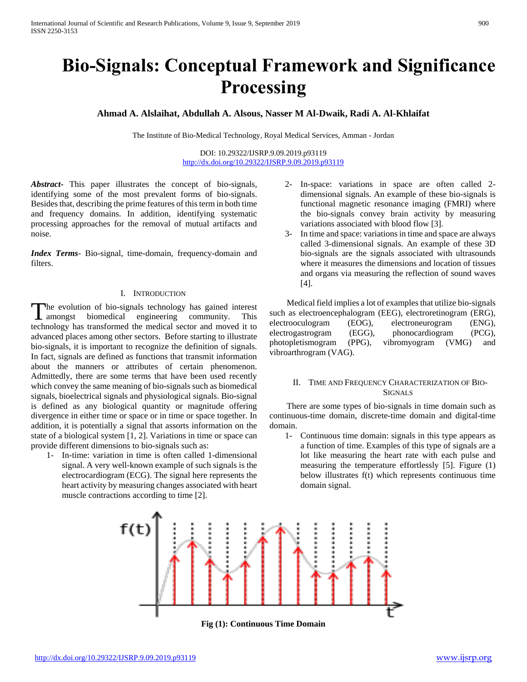# **Bio-Signals: Conceptual Framework and Significance Processing**

**Ahmad A. Alslaihat, Abdullah A. Alsous, Nasser M Al-Dwaik, Radi A. Al-Khlaifat**

The Institute of Bio-Medical Technology, Royal Medical Services, Amman - Jordan

DOI: 10.29322/IJSRP.9.09.2019.p93119 <http://dx.doi.org/10.29322/IJSRP.9.09.2019.p93119>

*Abstract***-** This paper illustrates the concept of bio-signals, identifying some of the most prevalent forms of bio-signals. Besides that, describing the prime features of this term in both time and frequency domains. In addition, identifying systematic processing approaches for the removal of mutual artifacts and noise.

*Index Terms*- Bio-signal, time-domain, frequency-domain and filters.

#### I. INTRODUCTION

The evolution of bio-signals technology has gained interest The evolution of bio-signals technology has gained interest amongst biomedical engineering community. This technology has transformed the medical sector and moved it to advanced places among other sectors. Before starting to illustrate bio-signals, it is important to recognize the definition of signals. In fact, signals are defined as functions that transmit information about the manners or attributes of certain phenomenon. Admittedly, there are some terms that have been used recently which convey the same meaning of bio-signals such as biomedical signals, bioelectrical signals and physiological signals. Bio-signal is defined as any biological quantity or magnitude offering divergence in either time or space or in time or space together. In addition, it is potentially a signal that assorts information on the state of a biological system [1, 2]. Variations in time or space can provide different dimensions to bio-signals such as:

1- In-time: variation in time is often called 1-dimensional signal. A very well-known example of such signals is the electrocardiogram (ECG). The signal here represents the heart activity by measuring changes associated with heart muscle contractions according to time [2].

- 2- In-space: variations in space are often called 2 dimensional signals. An example of these bio-signals is functional magnetic resonance imaging (FMRI) where the bio-signals convey brain activity by measuring variations associated with blood flow [3].
- 3- In time and space: variations in time and space are always called 3-dimensional signals. An example of these 3D bio-signals are the signals associated with ultrasounds where it measures the dimensions and location of tissues and organs via measuring the reflection of sound waves [4].

 Medical field implies a lot of examples that utilize bio-signals such as electroencephalogram (EEG), electroretinogram (ERG), electrooculogram (EOG), electroneurogram (ENG), electrogastrogram (EGG), phonocardiogram (PCG), photopletismogram (PPG), vibromyogram (VMG) and vibroarthrogram (VAG).

# II. TIME AND FREQUENCY CHARACTERIZATION OF BIO-**SIGNALS**

 There are some types of bio-signals in time domain such as continuous-time domain, discrete-time domain and digital-time domain.

1- Continuous time domain: signals in this type appears as a function of time. Examples of this type of signals are a lot like measuring the heart rate with each pulse and measuring the temperature effortlessly [5]. Figure (1) below illustrates f(t) which represents continuous time domain signal.



**Fig (1): Continuous Time Domain**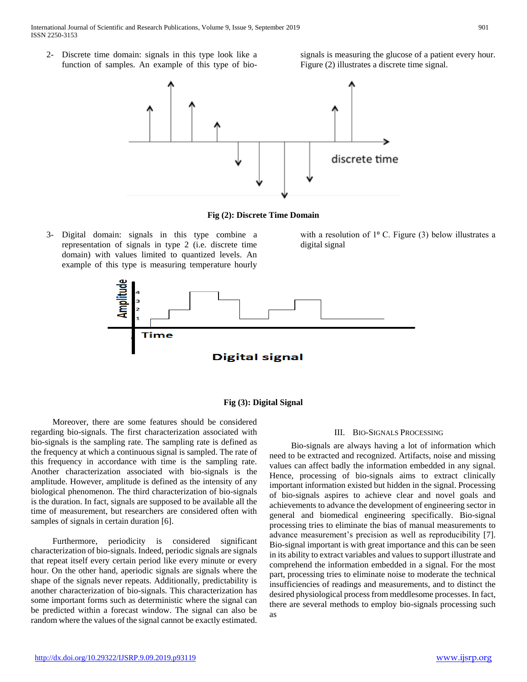International Journal of Scientific and Research Publications, Volume 9, Issue 9, September 2019 901 ISSN 2250-3153

2- Discrete time domain: signals in this type look like a function of samples. An example of this type of biosignals is measuring the glucose of a patient every hour. Figure (2) illustrates a discrete time signal.



**Fig (2): Discrete Time Domain**

3- Digital domain: signals in this type combine a representation of signals in type 2 (i.e. discrete time domain) with values limited to quantized levels. An example of this type is measuring temperature hourly with a resolution of  $1^{\circ}$  C. Figure (3) below illustrates a digital signal



### **Fig (3): Digital Signal**

 Moreover, there are some features should be considered regarding bio-signals. The first characterization associated with bio-signals is the sampling rate. The sampling rate is defined as the frequency at which a continuous signal is sampled. The rate of this frequency in accordance with time is the sampling rate. Another characterization associated with bio-signals is the amplitude. However, amplitude is defined as the intensity of any biological phenomenon. The third characterization of bio-signals is the duration. In fact, signals are supposed to be available all the time of measurement, but researchers are considered often with samples of signals in certain duration [6].

 Furthermore, periodicity is considered significant characterization of bio-signals. Indeed, periodic signals are signals that repeat itself every certain period like every minute or every hour. On the other hand, aperiodic signals are signals where the shape of the signals never repeats. Additionally, predictability is another characterization of bio-signals. This characterization has some important forms such as deterministic where the signal can be predicted within a forecast window. The signal can also be random where the values of the signal cannot be exactly estimated.

## III. BIO-SIGNALS PROCESSING

 Bio-signals are always having a lot of information which need to be extracted and recognized. Artifacts, noise and missing values can affect badly the information embedded in any signal. Hence, processing of bio-signals aims to extract clinically important information existed but hidden in the signal. Processing of bio-signals aspires to achieve clear and novel goals and achievements to advance the development of engineering sector in general and biomedical engineering specifically. Bio-signal processing tries to eliminate the bias of manual measurements to advance measurement's precision as well as reproducibility [7]. Bio-signal important is with great importance and this can be seen in its ability to extract variables and values to support illustrate and comprehend the information embedded in a signal. For the most part, processing tries to eliminate noise to moderate the technical insufficiencies of readings and measurements, and to distinct the desired physiological process from meddlesome processes. In fact, there are several methods to employ bio-signals processing such as